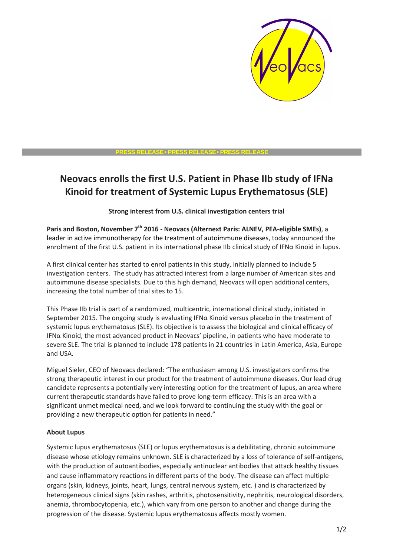

#### **PRESS RELEASE**• **PRESS RELEASE**• **PRESS RELEASE**

# **Neovacs enrolls the first U.S. Patient in Phase IIb study of IFNa Kinoid for treatment of Systemic Lupus Erythematosus (SLE)**

**Strong interest from U.S. clinical investigation centers trial** 

**Paris and Boston, November 7th 2016 - Neovacs (Alternext Paris: ALNEV, PEA-eligible SMEs)**, a leader in active immunotherapy for the treatment of autoimmune diseases, today announced the enrolment of the first U.S. patient in its international phase IIb clinical study of IFNα Kinoid in lupus.

A first clinical center has started to enrol patients in this study, initially planned to include 5 investigation centers. The study has attracted interest from a large number of American sites and autoimmune disease specialists. Due to this high demand, Neovacs will open additional centers, increasing the total number of trial sites to 15.

This Phase IIb trial is part of a randomized, multicentric, international clinical study, initiated in September 2015. The ongoing study is evaluating IFNα Kinoid versus placebo in the treatment of systemic lupus erythematosus (SLE). Its objective is to assess the biological and clinical efficacy of IFNα Kinoid, the most advanced product in Neovacs' pipeline, in patients who have moderate to severe SLE. The trial is planned to include 178 patients in 21 countries in Latin America, Asia, Europe and USA.

Miguel Sieler, CEO of Neovacs declared: "The enthusiasm among U.S. investigators confirms the strong therapeutic interest in our product for the treatment of autoimmune diseases. Our lead drug candidate represents a potentially very interesting option for the treatment of lupus, an area where current therapeutic standards have failed to prove long-term efficacy. This is an area with a significant unmet medical need, and we look forward to continuing the study with the goal or providing a new therapeutic option for patients in need."

## **About Lupus**

Systemic lupus erythematosus (SLE) or lupus erythematosus is a debilitating, chronic autoimmune disease whose etiology remains unknown. SLE is characterized by a loss of tolerance of self-antigens, with the production of autoantibodies, especially antinuclear antibodies that attack healthy tissues and cause inflammatory reactions in different parts of the body. The disease can affect multiple organs (skin, kidneys, joints, heart, lungs, central nervous system, etc. ) and is characterized by heterogeneous clinical signs (skin rashes, arthritis, photosensitivity, nephritis, neurological disorders, anemia, thrombocytopenia, etc.), which vary from one person to another and change during the progression of the disease. Systemic lupus erythematosus affects mostly women.